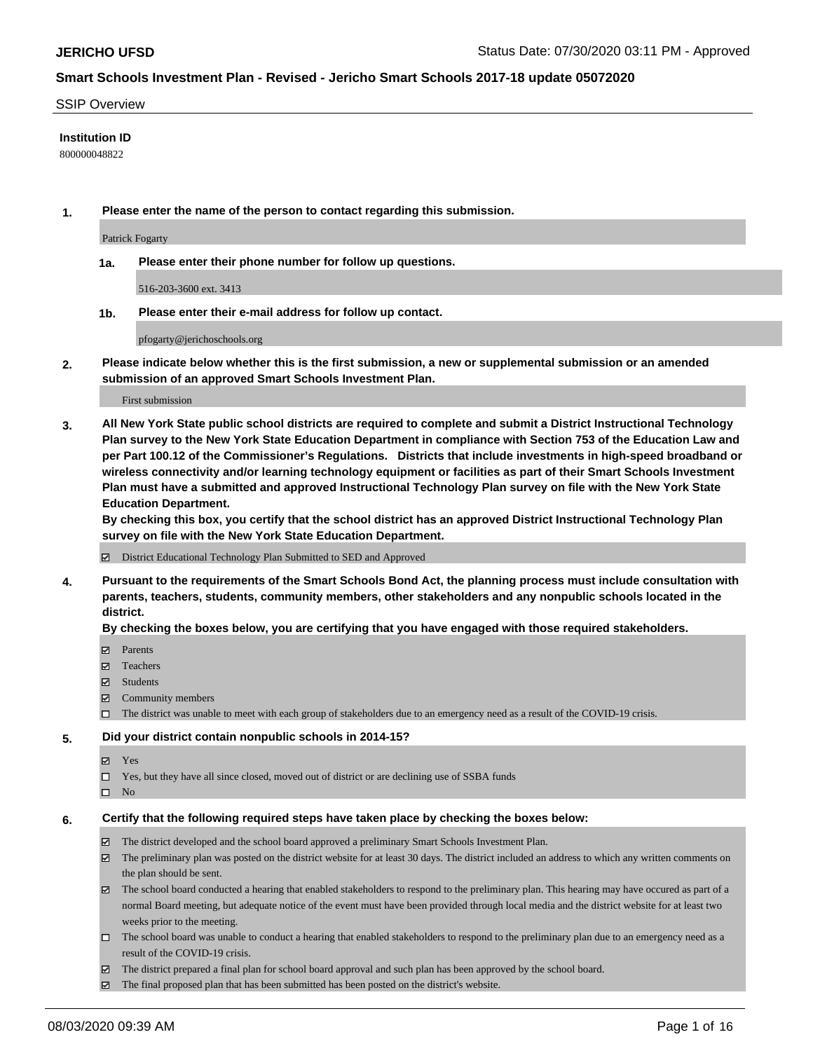#### SSIP Overview

### **Institution ID**

800000048822

**1. Please enter the name of the person to contact regarding this submission.**

Patrick Fogarty

**1a. Please enter their phone number for follow up questions.**

516-203-3600 ext. 3413

**1b. Please enter their e-mail address for follow up contact.**

pfogarty@jerichoschools.org

**2. Please indicate below whether this is the first submission, a new or supplemental submission or an amended submission of an approved Smart Schools Investment Plan.**

#### First submission

**3. All New York State public school districts are required to complete and submit a District Instructional Technology Plan survey to the New York State Education Department in compliance with Section 753 of the Education Law and per Part 100.12 of the Commissioner's Regulations. Districts that include investments in high-speed broadband or wireless connectivity and/or learning technology equipment or facilities as part of their Smart Schools Investment Plan must have a submitted and approved Instructional Technology Plan survey on file with the New York State Education Department.** 

**By checking this box, you certify that the school district has an approved District Instructional Technology Plan survey on file with the New York State Education Department.**

District Educational Technology Plan Submitted to SED and Approved

**4. Pursuant to the requirements of the Smart Schools Bond Act, the planning process must include consultation with parents, teachers, students, community members, other stakeholders and any nonpublic schools located in the district.** 

#### **By checking the boxes below, you are certifying that you have engaged with those required stakeholders.**

- **Parents**
- Teachers
- Students
- $\boxtimes$  Community members
- The district was unable to meet with each group of stakeholders due to an emergency need as a result of the COVID-19 crisis.

#### **5. Did your district contain nonpublic schools in 2014-15?**

- **冈** Yes
- Yes, but they have all since closed, moved out of district or are declining use of SSBA funds
- $\square$  No

#### **6. Certify that the following required steps have taken place by checking the boxes below:**

- The district developed and the school board approved a preliminary Smart Schools Investment Plan.
- $\boxtimes$  The preliminary plan was posted on the district website for at least 30 days. The district included an address to which any written comments on the plan should be sent.
- The school board conducted a hearing that enabled stakeholders to respond to the preliminary plan. This hearing may have occured as part of a normal Board meeting, but adequate notice of the event must have been provided through local media and the district website for at least two weeks prior to the meeting.
- The school board was unable to conduct a hearing that enabled stakeholders to respond to the preliminary plan due to an emergency need as a result of the COVID-19 crisis.
- The district prepared a final plan for school board approval and such plan has been approved by the school board.
- $\boxtimes$  The final proposed plan that has been submitted has been posted on the district's website.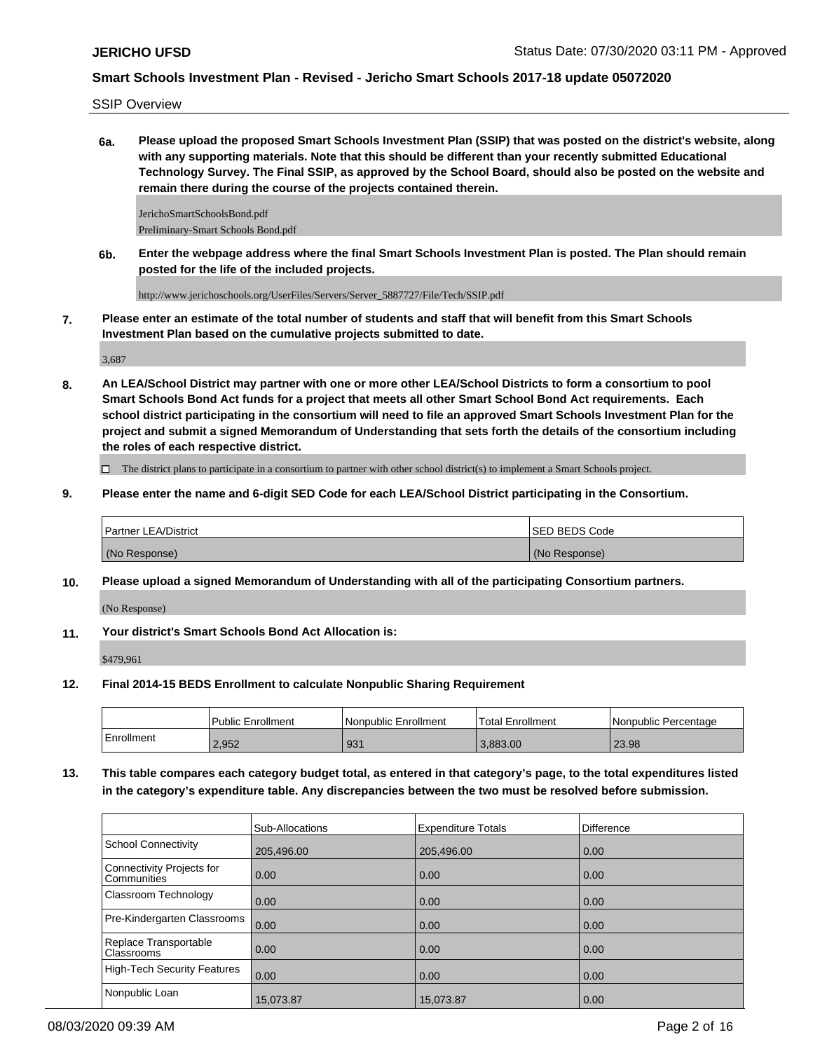SSIP Overview

**6a. Please upload the proposed Smart Schools Investment Plan (SSIP) that was posted on the district's website, along with any supporting materials. Note that this should be different than your recently submitted Educational Technology Survey. The Final SSIP, as approved by the School Board, should also be posted on the website and remain there during the course of the projects contained therein.**

JerichoSmartSchoolsBond.pdf Preliminary-Smart Schools Bond.pdf

**6b. Enter the webpage address where the final Smart Schools Investment Plan is posted. The Plan should remain posted for the life of the included projects.**

http://www.jerichoschools.org/UserFiles/Servers/Server\_5887727/File/Tech/SSIP.pdf

**7. Please enter an estimate of the total number of students and staff that will benefit from this Smart Schools Investment Plan based on the cumulative projects submitted to date.**

3,687

**8. An LEA/School District may partner with one or more other LEA/School Districts to form a consortium to pool Smart Schools Bond Act funds for a project that meets all other Smart School Bond Act requirements. Each school district participating in the consortium will need to file an approved Smart Schools Investment Plan for the project and submit a signed Memorandum of Understanding that sets forth the details of the consortium including the roles of each respective district.**

 $\Box$  The district plans to participate in a consortium to partner with other school district(s) to implement a Smart Schools project.

**9. Please enter the name and 6-digit SED Code for each LEA/School District participating in the Consortium.**

| <b>Partner LEA/District</b> | <b>ISED BEDS Code</b> |
|-----------------------------|-----------------------|
| (No Response)               | (No Response)         |

**10. Please upload a signed Memorandum of Understanding with all of the participating Consortium partners.**

(No Response)

**11. Your district's Smart Schools Bond Act Allocation is:**

\$479,961

**12. Final 2014-15 BEDS Enrollment to calculate Nonpublic Sharing Requirement**

|            | Public Enrollment | <b>Nonpublic Enrollment</b> | <b>Total Enrollment</b> | l Nonpublic Percentage |
|------------|-------------------|-----------------------------|-------------------------|------------------------|
| Enrollment | 2.952             | 931                         | 3.883.00                | 23.98                  |

**13. This table compares each category budget total, as entered in that category's page, to the total expenditures listed in the category's expenditure table. Any discrepancies between the two must be resolved before submission.**

|                                                 | Sub-Allocations | <b>Expenditure Totals</b> | <b>Difference</b> |
|-------------------------------------------------|-----------------|---------------------------|-------------------|
| <b>School Connectivity</b>                      | 205,496.00      | 205,496.00                | 0.00              |
| <b>Connectivity Projects for</b><br>Communities | 0.00            | 0.00                      | 0.00              |
| Classroom Technology                            | 0.00            | 0.00                      | 0.00              |
| Pre-Kindergarten Classrooms                     | 0.00            | 0.00                      | 0.00              |
| Replace Transportable<br>Classrooms             | 0.00            | 0.00                      | 0.00              |
| <b>High-Tech Security Features</b>              | 0.00            | 0.00                      | 0.00              |
| Nonpublic Loan                                  | 15,073.87       | 15,073.87                 | 0.00              |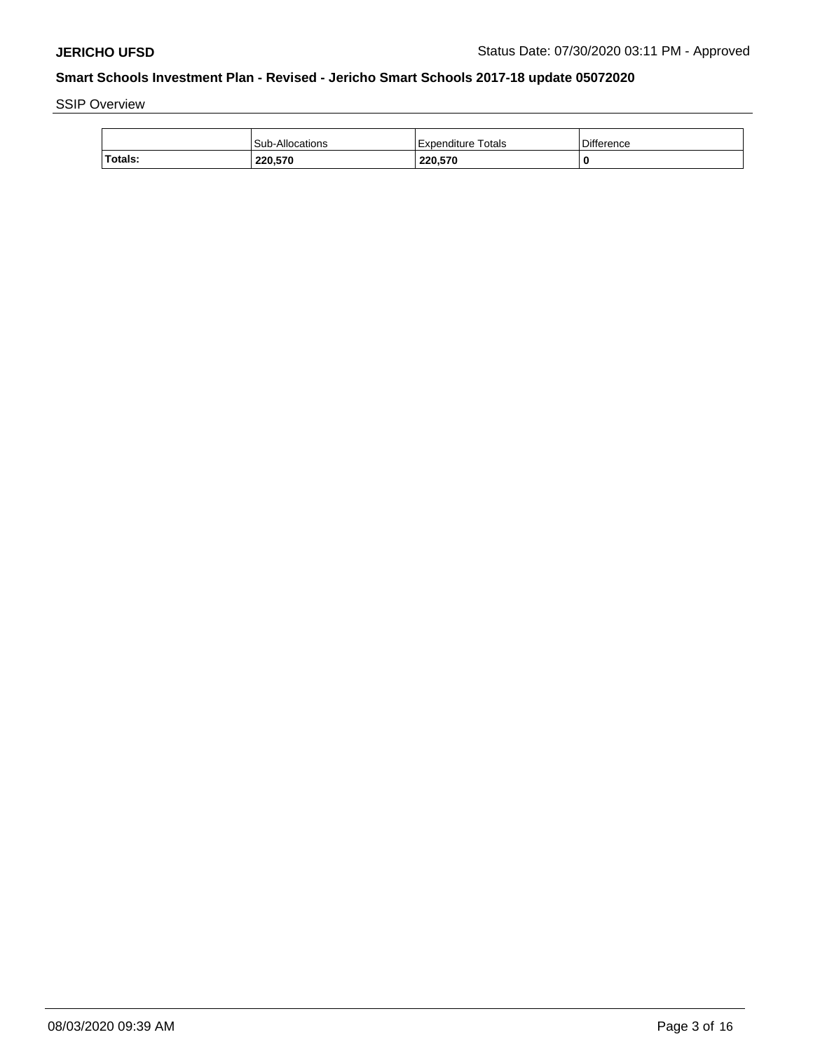SSIP Overview

|         | Sub-Allocations | Expenditure Totals | <b>Difference</b> |
|---------|-----------------|--------------------|-------------------|
| Totals: | 220.570         | 220.570            |                   |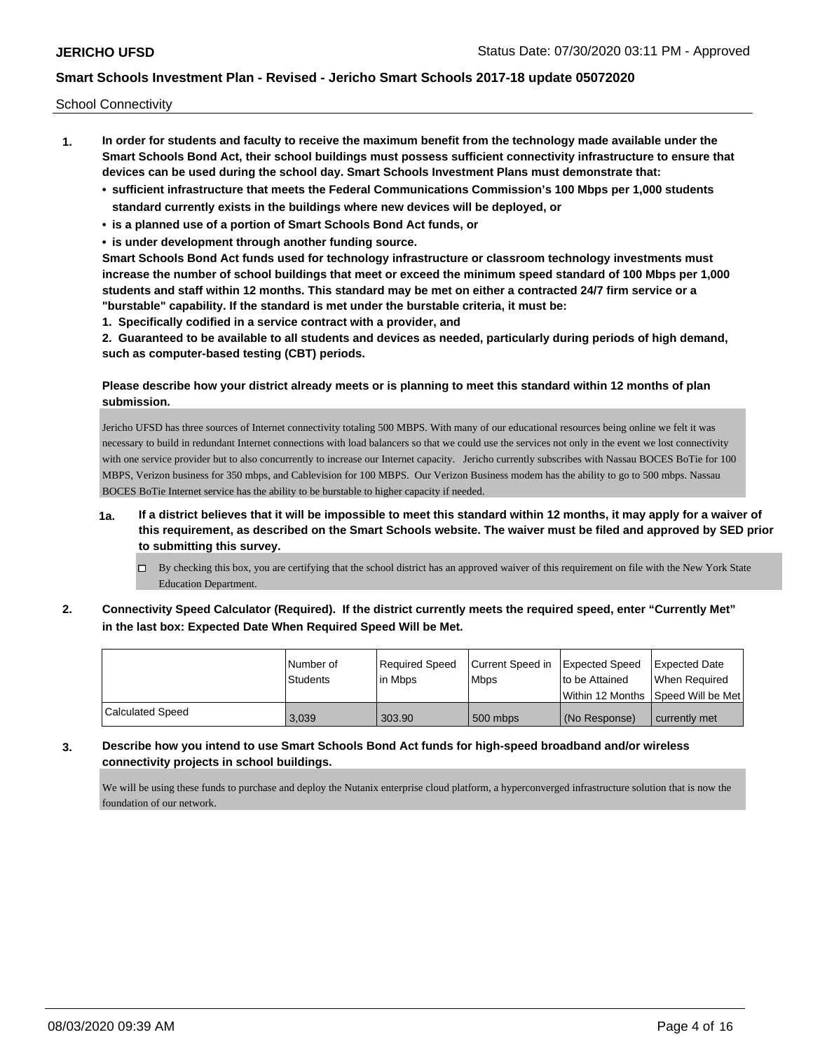School Connectivity

- **1. In order for students and faculty to receive the maximum benefit from the technology made available under the Smart Schools Bond Act, their school buildings must possess sufficient connectivity infrastructure to ensure that devices can be used during the school day. Smart Schools Investment Plans must demonstrate that:**
	- **• sufficient infrastructure that meets the Federal Communications Commission's 100 Mbps per 1,000 students standard currently exists in the buildings where new devices will be deployed, or**
	- **• is a planned use of a portion of Smart Schools Bond Act funds, or**
	- **• is under development through another funding source.**

**Smart Schools Bond Act funds used for technology infrastructure or classroom technology investments must increase the number of school buildings that meet or exceed the minimum speed standard of 100 Mbps per 1,000 students and staff within 12 months. This standard may be met on either a contracted 24/7 firm service or a "burstable" capability. If the standard is met under the burstable criteria, it must be:**

**1. Specifically codified in a service contract with a provider, and**

**2. Guaranteed to be available to all students and devices as needed, particularly during periods of high demand, such as computer-based testing (CBT) periods.**

### **Please describe how your district already meets or is planning to meet this standard within 12 months of plan submission.**

Jericho UFSD has three sources of Internet connectivity totaling 500 MBPS. With many of our educational resources being online we felt it was necessary to build in redundant Internet connections with load balancers so that we could use the services not only in the event we lost connectivity with one service provider but to also concurrently to increase our Internet capacity. Jericho currently subscribes with Nassau BOCES BoTie for 100 MBPS, Verizon business for 350 mbps, and Cablevision for 100 MBPS. Our Verizon Business modem has the ability to go to 500 mbps. Nassau BOCES BoTie Internet service has the ability to be burstable to higher capacity if needed.

- **1a. If a district believes that it will be impossible to meet this standard within 12 months, it may apply for a waiver of this requirement, as described on the Smart Schools website. The waiver must be filed and approved by SED prior to submitting this survey.**
	- $\Box$  By checking this box, you are certifying that the school district has an approved waiver of this requirement on file with the New York State Education Department.
- **2. Connectivity Speed Calculator (Required). If the district currently meets the required speed, enter "Currently Met" in the last box: Expected Date When Required Speed Will be Met.**

|                  | l Number of     | Required Speed | Current Speed in Expected Speed |                | <b>Expected Date</b>                |
|------------------|-----------------|----------------|---------------------------------|----------------|-------------------------------------|
|                  | <b>Students</b> | l in Mbps      | <b>Mbps</b>                     | to be Attained | When Required                       |
|                  |                 |                |                                 |                | Within 12 Months ISpeed Will be Met |
| Calculated Speed | 3,039           | 303.90         | 500 mbps                        | (No Response)  | currently met                       |

**3. Describe how you intend to use Smart Schools Bond Act funds for high-speed broadband and/or wireless connectivity projects in school buildings.**

We will be using these funds to purchase and deploy the Nutanix enterprise cloud platform, a hyperconverged infrastructure solution that is now the foundation of our network.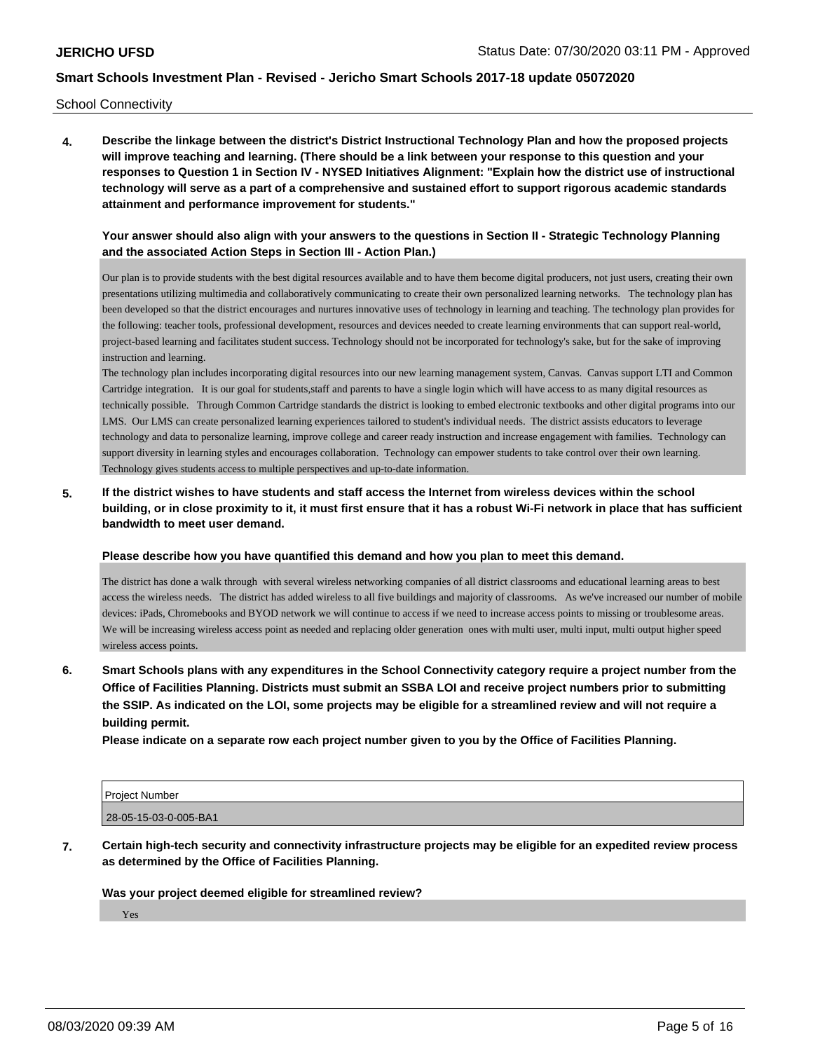School Connectivity

**4. Describe the linkage between the district's District Instructional Technology Plan and how the proposed projects will improve teaching and learning. (There should be a link between your response to this question and your responses to Question 1 in Section IV - NYSED Initiatives Alignment: "Explain how the district use of instructional technology will serve as a part of a comprehensive and sustained effort to support rigorous academic standards attainment and performance improvement for students."** 

### **Your answer should also align with your answers to the questions in Section II - Strategic Technology Planning and the associated Action Steps in Section III - Action Plan.)**

Our plan is to provide students with the best digital resources available and to have them become digital producers, not just users, creating their own presentations utilizing multimedia and collaboratively communicating to create their own personalized learning networks. The technology plan has been developed so that the district encourages and nurtures innovative uses of technology in learning and teaching. The technology plan provides for the following: teacher tools, professional development, resources and devices needed to create learning environments that can support real-world, project-based learning and facilitates student success. Technology should not be incorporated for technology's sake, but for the sake of improving instruction and learning.

The technology plan includes incorporating digital resources into our new learning management system, Canvas. Canvas support LTI and Common Cartridge integration. It is our goal for students,staff and parents to have a single login which will have access to as many digital resources as technically possible. Through Common Cartridge standards the district is looking to embed electronic textbooks and other digital programs into our LMS. Our LMS can create personalized learning experiences tailored to student's individual needs. The district assists educators to leverage technology and data to personalize learning, improve college and career ready instruction and increase engagement with families. Technology can support diversity in learning styles and encourages collaboration. Technology can empower students to take control over their own learning. Technology gives students access to multiple perspectives and up-to-date information.

# **5. If the district wishes to have students and staff access the Internet from wireless devices within the school building, or in close proximity to it, it must first ensure that it has a robust Wi-Fi network in place that has sufficient bandwidth to meet user demand.**

**Please describe how you have quantified this demand and how you plan to meet this demand.**

The district has done a walk through with several wireless networking companies of all district classrooms and educational learning areas to best access the wireless needs. The district has added wireless to all five buildings and majority of classrooms. As we've increased our number of mobile devices: iPads, Chromebooks and BYOD network we will continue to access if we need to increase access points to missing or troublesome areas. We will be increasing wireless access point as needed and replacing older generation ones with multi user, multi input, multi output higher speed wireless access points.

**6. Smart Schools plans with any expenditures in the School Connectivity category require a project number from the Office of Facilities Planning. Districts must submit an SSBA LOI and receive project numbers prior to submitting the SSIP. As indicated on the LOI, some projects may be eligible for a streamlined review and will not require a building permit.**

**Please indicate on a separate row each project number given to you by the Office of Facilities Planning.**

| Project Number        |  |
|-----------------------|--|
| 28-05-15-03-0-005-BA1 |  |

**7. Certain high-tech security and connectivity infrastructure projects may be eligible for an expedited review process as determined by the Office of Facilities Planning.**

### **Was your project deemed eligible for streamlined review?**

Yes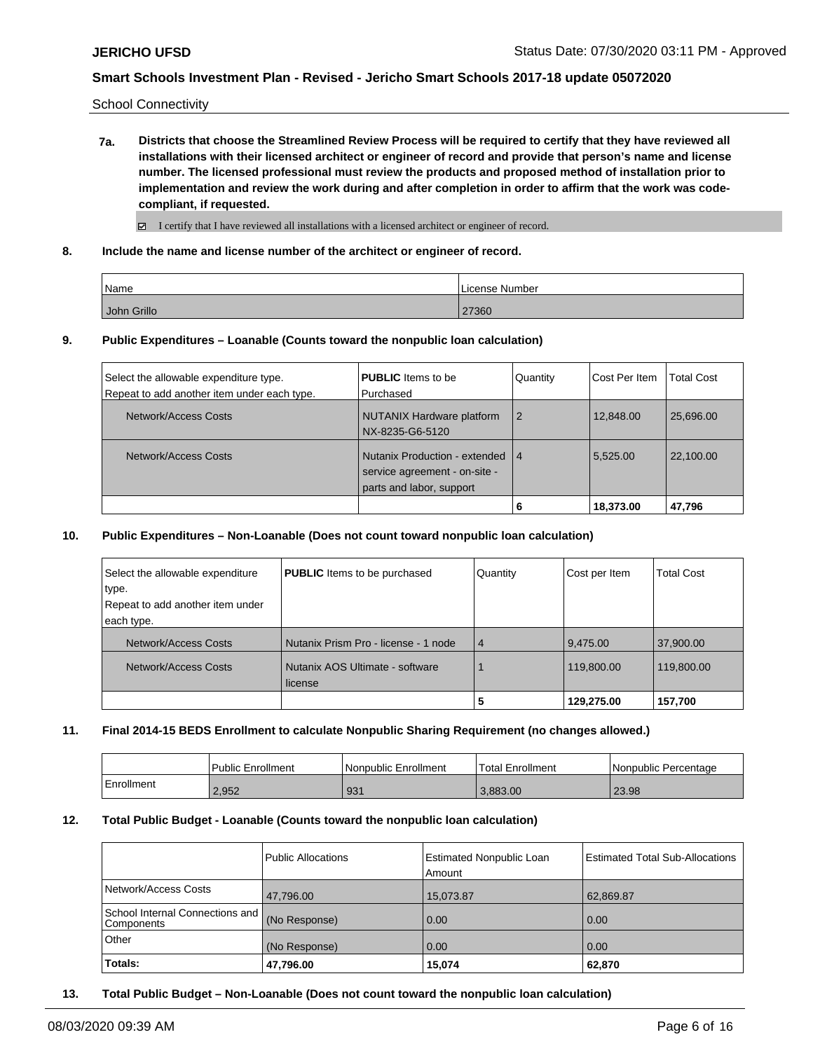School Connectivity

**7a. Districts that choose the Streamlined Review Process will be required to certify that they have reviewed all installations with their licensed architect or engineer of record and provide that person's name and license number. The licensed professional must review the products and proposed method of installation prior to implementation and review the work during and after completion in order to affirm that the work was codecompliant, if requested.**

I certify that I have reviewed all installations with a licensed architect or engineer of record.

**8. Include the name and license number of the architect or engineer of record.**

| Name <sup>'</sup> | License Number |
|-------------------|----------------|
| John Grillo       | 27360          |

**9. Public Expenditures – Loanable (Counts toward the nonpublic loan calculation)**

|                                             |                                  |          | 18,373.00     | 47,796            |
|---------------------------------------------|----------------------------------|----------|---------------|-------------------|
|                                             | parts and labor, support         |          |               |                   |
|                                             | service agreement - on-site -    |          |               |                   |
| Network/Access Costs                        | Nutanix Production - extended 14 |          | 5.525.00      | 22.100.00         |
|                                             | NX-8235-G6-5120                  |          |               |                   |
|                                             |                                  |          |               |                   |
| Network/Access Costs                        | NUTANIX Hardware platform        |          | 12,848.00     | 25.696.00         |
| Repeat to add another item under each type. | Purchased                        |          |               |                   |
| Select the allowable expenditure type.      | <b>PUBLIC</b> Items to be        | Quantity | Cost Per Item | <b>Total Cost</b> |
|                                             |                                  |          |               |                   |

#### **10. Public Expenditures – Non-Loanable (Does not count toward nonpublic loan calculation)**

| Select the allowable expenditure<br>type.<br>Repeat to add another item under<br>each type. | <b>PUBLIC</b> Items to be purchased        | Quantity       | Cost per Item | <b>Total Cost</b> |
|---------------------------------------------------------------------------------------------|--------------------------------------------|----------------|---------------|-------------------|
| Network/Access Costs                                                                        | Nutanix Prism Pro - license - 1 node       | $\overline{4}$ | 9,475.00      | 37,900.00         |
| Network/Access Costs                                                                        | Nutanix AOS Ultimate - software<br>license |                | 119,800.00    | 119,800.00        |
|                                                                                             |                                            | 5              | 129,275.00    | 157,700           |

### **11. Final 2014-15 BEDS Enrollment to calculate Nonpublic Sharing Requirement (no changes allowed.)**

|              | <b>Public Enrollment</b> | l Nonpublic Enrollment | Total Enrollment | I Nonpublic Percentage |
|--------------|--------------------------|------------------------|------------------|------------------------|
| l Enrollment | 2,952                    | 931                    | 3.883.00         | 23.98                  |

#### **12. Total Public Budget - Loanable (Counts toward the nonpublic loan calculation)**

|                                                  | <b>Public Allocations</b> | <b>Estimated Nonpublic Loan</b><br>Amount | <b>Estimated Total Sub-Allocations</b> |
|--------------------------------------------------|---------------------------|-------------------------------------------|----------------------------------------|
| Network/Access Costs                             | 47,796.00                 | 15,073.87                                 | 62,869.87                              |
| School Internal Connections and   <br>Components | (No Response)             | 0.00                                      | 0.00                                   |
| Other                                            | (No Response)             | 0.00                                      | 0.00                                   |
| Totals:                                          | 47,796.00                 | 15.074                                    | 62,870                                 |

**13. Total Public Budget – Non-Loanable (Does not count toward the nonpublic loan calculation)**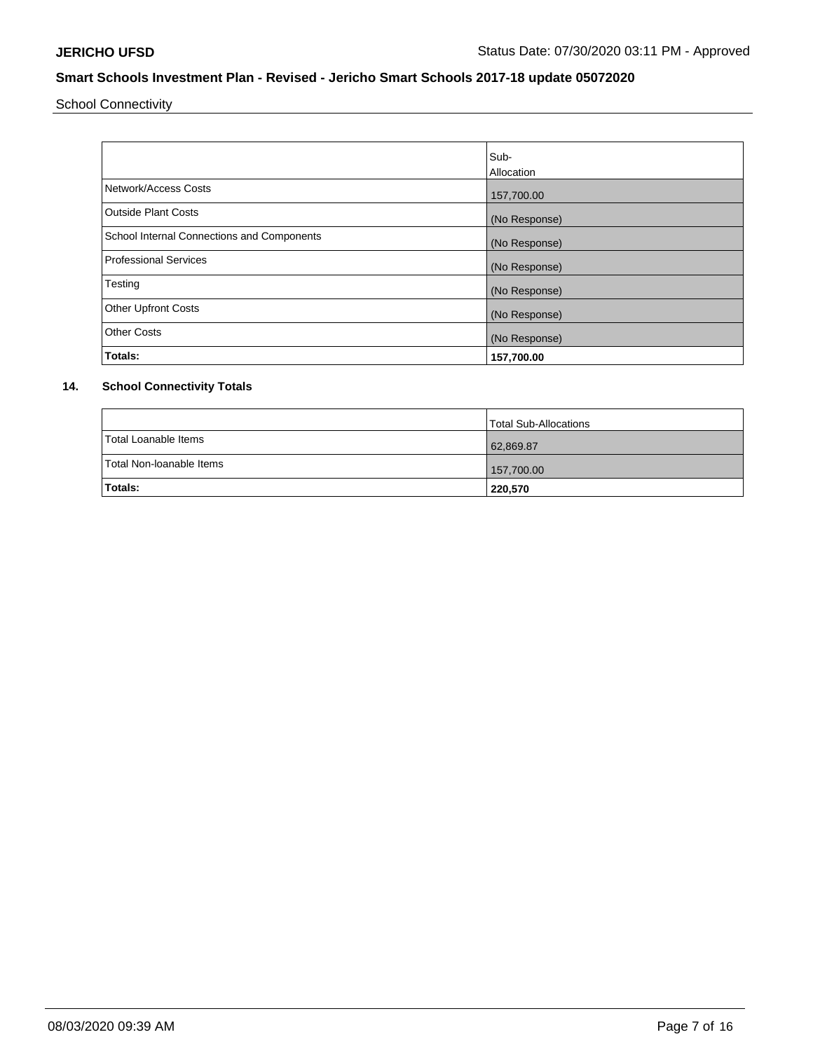School Connectivity

|                                            | Sub-<br>Allocation |
|--------------------------------------------|--------------------|
| Network/Access Costs                       | 157,700.00         |
| <b>Outside Plant Costs</b>                 | (No Response)      |
| School Internal Connections and Components | (No Response)      |
| <b>Professional Services</b>               | (No Response)      |
| Testing                                    | (No Response)      |
| <b>Other Upfront Costs</b>                 | (No Response)      |
| <b>Other Costs</b>                         | (No Response)      |
| Totals:                                    | 157,700.00         |

# **14. School Connectivity Totals**

|                          | Total Sub-Allocations |
|--------------------------|-----------------------|
| Total Loanable Items     | 62,869.87             |
| Total Non-Ioanable Items | 157,700.00            |
| <b>Totals:</b>           | 220,570               |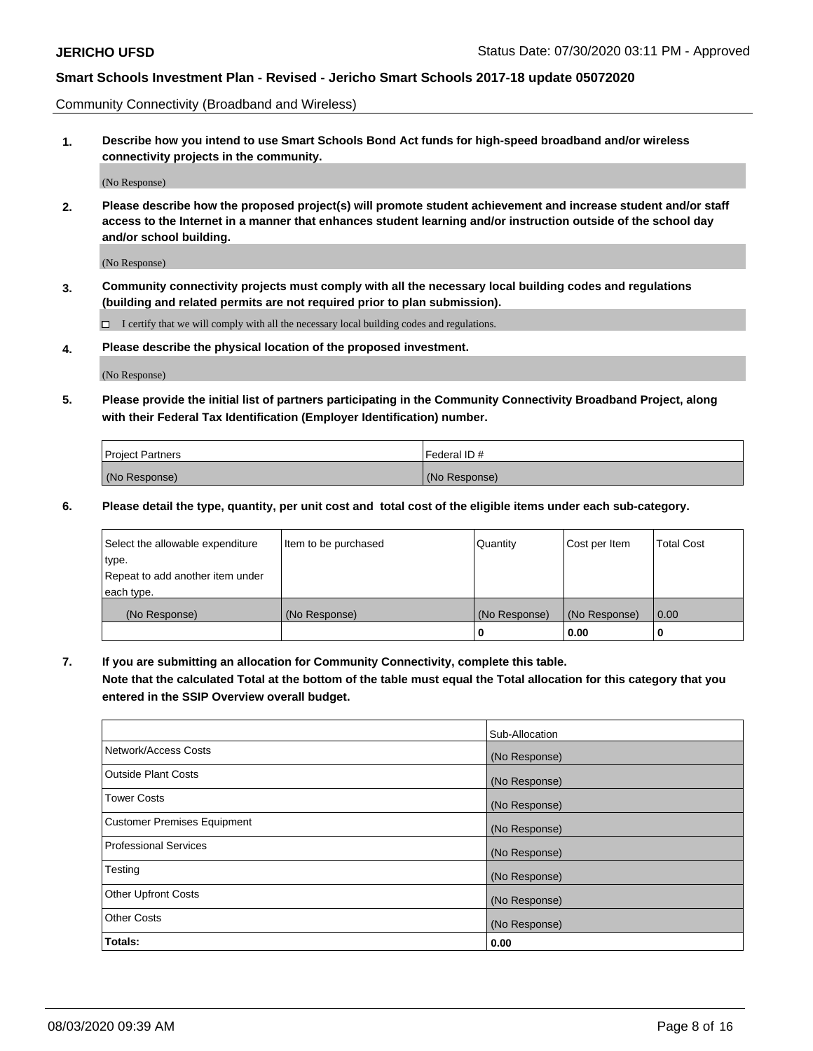Community Connectivity (Broadband and Wireless)

**1. Describe how you intend to use Smart Schools Bond Act funds for high-speed broadband and/or wireless connectivity projects in the community.**

(No Response)

**2. Please describe how the proposed project(s) will promote student achievement and increase student and/or staff access to the Internet in a manner that enhances student learning and/or instruction outside of the school day and/or school building.**

(No Response)

**3. Community connectivity projects must comply with all the necessary local building codes and regulations (building and related permits are not required prior to plan submission).**

 $\Box$  I certify that we will comply with all the necessary local building codes and regulations.

**4. Please describe the physical location of the proposed investment.**

(No Response)

**5. Please provide the initial list of partners participating in the Community Connectivity Broadband Project, along with their Federal Tax Identification (Employer Identification) number.**

| <b>Project Partners</b> | l Federal ID # |
|-------------------------|----------------|
| (No Response)           | (No Response)  |

**6. Please detail the type, quantity, per unit cost and total cost of the eligible items under each sub-category.**

| Select the allowable expenditure | Item to be purchased | Quantity      | Cost per Item | <b>Total Cost</b> |
|----------------------------------|----------------------|---------------|---------------|-------------------|
| type.                            |                      |               |               |                   |
| Repeat to add another item under |                      |               |               |                   |
| each type.                       |                      |               |               |                   |
| (No Response)                    | (No Response)        | (No Response) | (No Response) | 0.00              |
|                                  |                      | o             | 0.00          |                   |

**7. If you are submitting an allocation for Community Connectivity, complete this table.**

**Note that the calculated Total at the bottom of the table must equal the Total allocation for this category that you entered in the SSIP Overview overall budget.**

|                                    | Sub-Allocation |
|------------------------------------|----------------|
| Network/Access Costs               | (No Response)  |
| Outside Plant Costs                | (No Response)  |
| <b>Tower Costs</b>                 | (No Response)  |
| <b>Customer Premises Equipment</b> | (No Response)  |
| <b>Professional Services</b>       | (No Response)  |
| Testing                            | (No Response)  |
| <b>Other Upfront Costs</b>         | (No Response)  |
| <b>Other Costs</b>                 | (No Response)  |
| Totals:                            | 0.00           |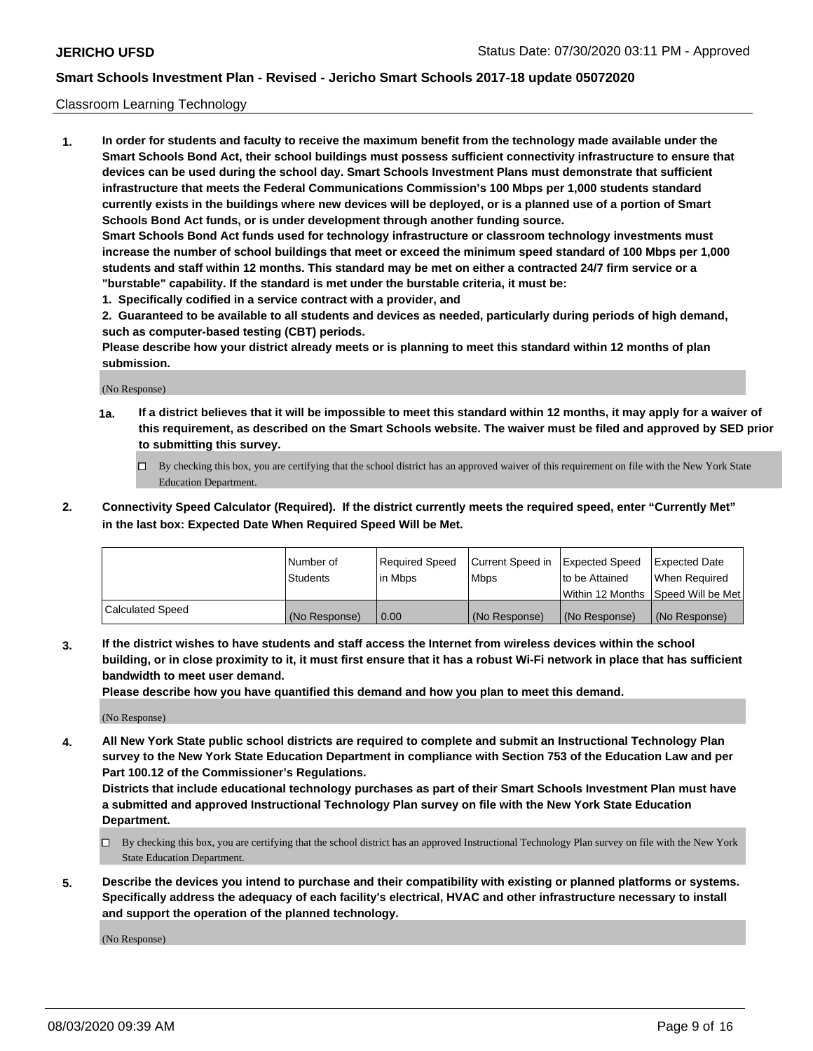### Classroom Learning Technology

**1. In order for students and faculty to receive the maximum benefit from the technology made available under the Smart Schools Bond Act, their school buildings must possess sufficient connectivity infrastructure to ensure that devices can be used during the school day. Smart Schools Investment Plans must demonstrate that sufficient infrastructure that meets the Federal Communications Commission's 100 Mbps per 1,000 students standard currently exists in the buildings where new devices will be deployed, or is a planned use of a portion of Smart Schools Bond Act funds, or is under development through another funding source. Smart Schools Bond Act funds used for technology infrastructure or classroom technology investments must increase the number of school buildings that meet or exceed the minimum speed standard of 100 Mbps per 1,000 students and staff within 12 months. This standard may be met on either a contracted 24/7 firm service or a "burstable" capability. If the standard is met under the burstable criteria, it must be:**

**1. Specifically codified in a service contract with a provider, and**

**2. Guaranteed to be available to all students and devices as needed, particularly during periods of high demand, such as computer-based testing (CBT) periods.**

**Please describe how your district already meets or is planning to meet this standard within 12 months of plan submission.**

(No Response)

- **1a. If a district believes that it will be impossible to meet this standard within 12 months, it may apply for a waiver of this requirement, as described on the Smart Schools website. The waiver must be filed and approved by SED prior to submitting this survey.**
	- By checking this box, you are certifying that the school district has an approved waiver of this requirement on file with the New York State Education Department.
- **2. Connectivity Speed Calculator (Required). If the district currently meets the required speed, enter "Currently Met" in the last box: Expected Date When Required Speed Will be Met.**

|                  | l Number of     | Required Speed | Current Speed in | <b>Expected Speed</b> | <b>Expected Date</b>                |
|------------------|-----------------|----------------|------------------|-----------------------|-------------------------------------|
|                  | <b>Students</b> | l in Mbps      | l Mbps           | to be Attained        | When Required                       |
|                  |                 |                |                  |                       | Within 12 Months  Speed Will be Met |
| Calculated Speed | (No Response)   | 0.00           | (No Response)    | l (No Response)       | (No Response)                       |

**3. If the district wishes to have students and staff access the Internet from wireless devices within the school building, or in close proximity to it, it must first ensure that it has a robust Wi-Fi network in place that has sufficient bandwidth to meet user demand.**

**Please describe how you have quantified this demand and how you plan to meet this demand.**

(No Response)

**4. All New York State public school districts are required to complete and submit an Instructional Technology Plan survey to the New York State Education Department in compliance with Section 753 of the Education Law and per Part 100.12 of the Commissioner's Regulations.**

**Districts that include educational technology purchases as part of their Smart Schools Investment Plan must have a submitted and approved Instructional Technology Plan survey on file with the New York State Education Department.**

- By checking this box, you are certifying that the school district has an approved Instructional Technology Plan survey on file with the New York State Education Department.
- **5. Describe the devices you intend to purchase and their compatibility with existing or planned platforms or systems. Specifically address the adequacy of each facility's electrical, HVAC and other infrastructure necessary to install and support the operation of the planned technology.**

(No Response)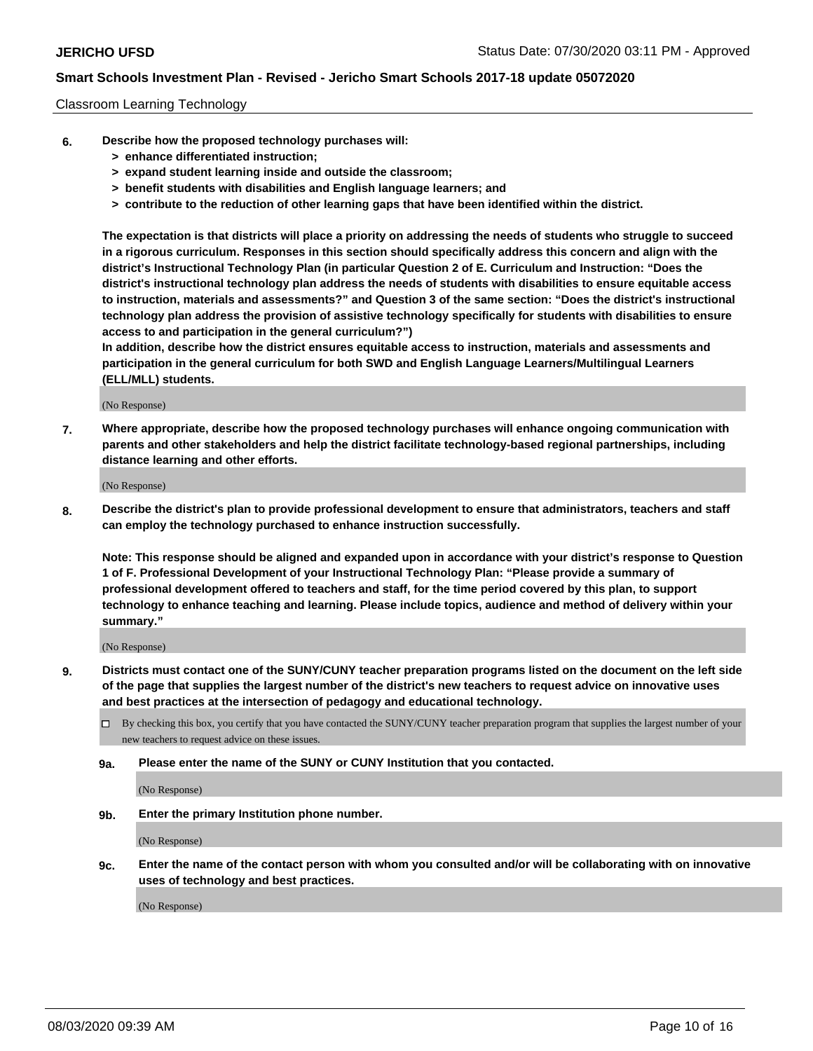### Classroom Learning Technology

- **6. Describe how the proposed technology purchases will:**
	- **> enhance differentiated instruction;**
	- **> expand student learning inside and outside the classroom;**
	- **> benefit students with disabilities and English language learners; and**
	- **> contribute to the reduction of other learning gaps that have been identified within the district.**

**The expectation is that districts will place a priority on addressing the needs of students who struggle to succeed in a rigorous curriculum. Responses in this section should specifically address this concern and align with the district's Instructional Technology Plan (in particular Question 2 of E. Curriculum and Instruction: "Does the district's instructional technology plan address the needs of students with disabilities to ensure equitable access to instruction, materials and assessments?" and Question 3 of the same section: "Does the district's instructional technology plan address the provision of assistive technology specifically for students with disabilities to ensure access to and participation in the general curriculum?")**

**In addition, describe how the district ensures equitable access to instruction, materials and assessments and participation in the general curriculum for both SWD and English Language Learners/Multilingual Learners (ELL/MLL) students.**

(No Response)

**7. Where appropriate, describe how the proposed technology purchases will enhance ongoing communication with parents and other stakeholders and help the district facilitate technology-based regional partnerships, including distance learning and other efforts.**

(No Response)

**8. Describe the district's plan to provide professional development to ensure that administrators, teachers and staff can employ the technology purchased to enhance instruction successfully.**

**Note: This response should be aligned and expanded upon in accordance with your district's response to Question 1 of F. Professional Development of your Instructional Technology Plan: "Please provide a summary of professional development offered to teachers and staff, for the time period covered by this plan, to support technology to enhance teaching and learning. Please include topics, audience and method of delivery within your summary."**

(No Response)

- **9. Districts must contact one of the SUNY/CUNY teacher preparation programs listed on the document on the left side of the page that supplies the largest number of the district's new teachers to request advice on innovative uses and best practices at the intersection of pedagogy and educational technology.**
	- By checking this box, you certify that you have contacted the SUNY/CUNY teacher preparation program that supplies the largest number of your new teachers to request advice on these issues.
	- **9a. Please enter the name of the SUNY or CUNY Institution that you contacted.**

(No Response)

**9b. Enter the primary Institution phone number.**

(No Response)

**9c. Enter the name of the contact person with whom you consulted and/or will be collaborating with on innovative uses of technology and best practices.**

(No Response)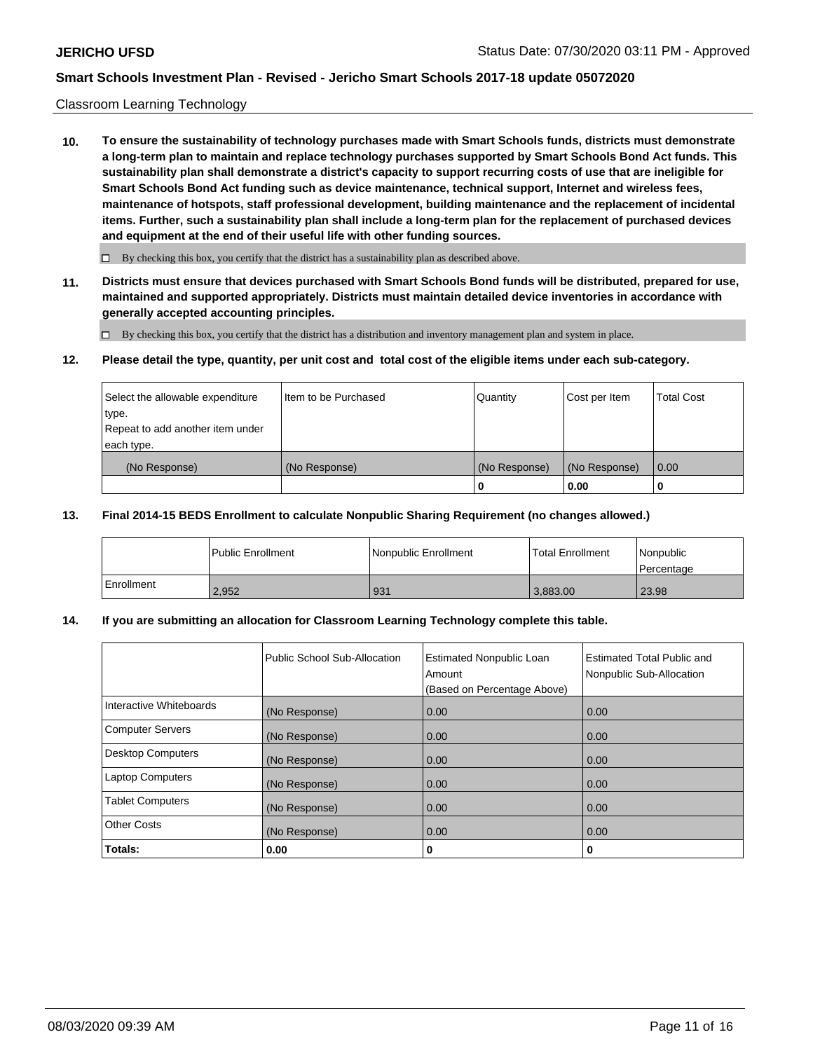### Classroom Learning Technology

**10. To ensure the sustainability of technology purchases made with Smart Schools funds, districts must demonstrate a long-term plan to maintain and replace technology purchases supported by Smart Schools Bond Act funds. This sustainability plan shall demonstrate a district's capacity to support recurring costs of use that are ineligible for Smart Schools Bond Act funding such as device maintenance, technical support, Internet and wireless fees, maintenance of hotspots, staff professional development, building maintenance and the replacement of incidental items. Further, such a sustainability plan shall include a long-term plan for the replacement of purchased devices and equipment at the end of their useful life with other funding sources.**

 $\Box$  By checking this box, you certify that the district has a sustainability plan as described above.

**11. Districts must ensure that devices purchased with Smart Schools Bond funds will be distributed, prepared for use, maintained and supported appropriately. Districts must maintain detailed device inventories in accordance with generally accepted accounting principles.**

By checking this box, you certify that the district has a distribution and inventory management plan and system in place.

#### **12. Please detail the type, quantity, per unit cost and total cost of the eligible items under each sub-category.**

| Select the allowable expenditure<br>type.<br>Repeat to add another item under | Item to be Purchased | Quantity      | Cost per Item | <b>Total Cost</b> |
|-------------------------------------------------------------------------------|----------------------|---------------|---------------|-------------------|
| each type.<br>(No Response)                                                   | (No Response)        | (No Response) | (No Response) | 0.00              |
|                                                                               |                      | 0             | 0.00          |                   |

### **13. Final 2014-15 BEDS Enrollment to calculate Nonpublic Sharing Requirement (no changes allowed.)**

|              | l Public Enrollment | Nonpublic Enrollment | <b>Total Enrollment</b> | Nonpublic<br>l Percentage |
|--------------|---------------------|----------------------|-------------------------|---------------------------|
| l Enrollment | 2.952               | 931                  | 3.883.00                | 23.98                     |

### **14. If you are submitting an allocation for Classroom Learning Technology complete this table.**

|                         | Public School Sub-Allocation | <b>Estimated Nonpublic Loan</b><br>Amount<br>(Based on Percentage Above) | Estimated Total Public and<br>Nonpublic Sub-Allocation |
|-------------------------|------------------------------|--------------------------------------------------------------------------|--------------------------------------------------------|
| Interactive Whiteboards | (No Response)                | 0.00                                                                     | 0.00                                                   |
| Computer Servers        | (No Response)                | 0.00                                                                     | 0.00                                                   |
| Desktop Computers       | (No Response)                | 0.00                                                                     | 0.00                                                   |
| <b>Laptop Computers</b> | (No Response)                | 0.00                                                                     | 0.00                                                   |
| <b>Tablet Computers</b> | (No Response)                | 0.00                                                                     | 0.00                                                   |
| Other Costs             | (No Response)                | 0.00                                                                     | 0.00                                                   |
| Totals:                 | 0.00                         | 0                                                                        | 0                                                      |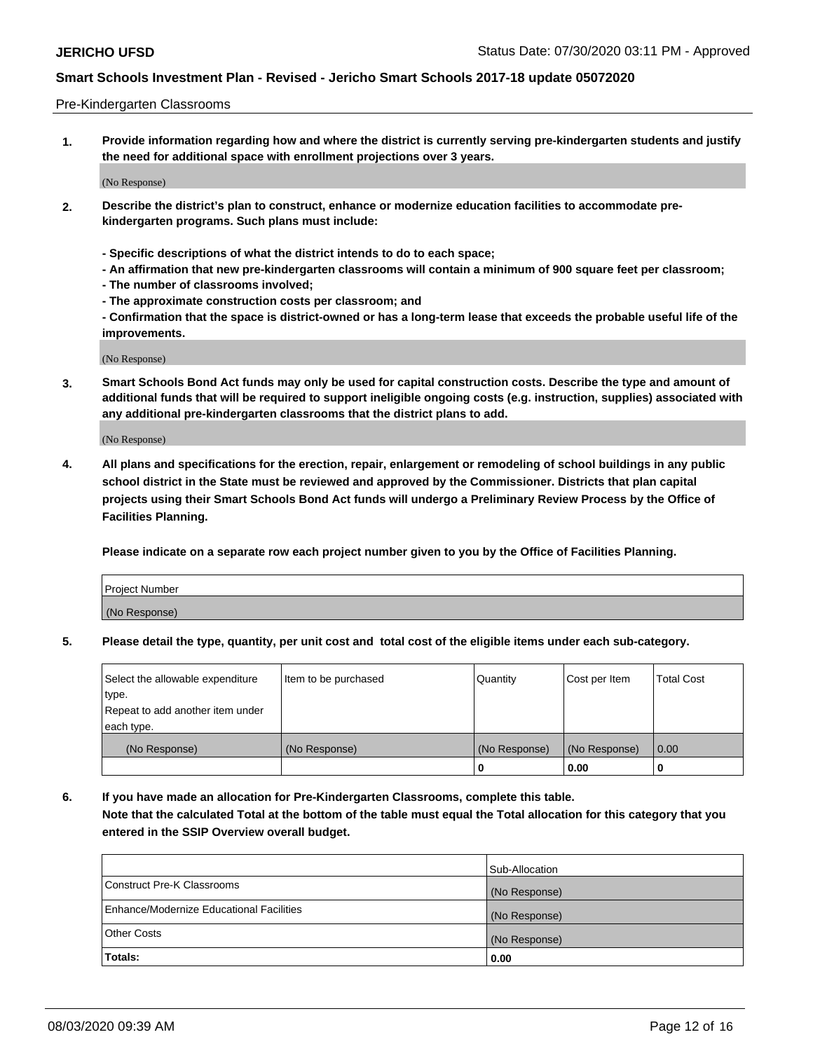#### Pre-Kindergarten Classrooms

**1. Provide information regarding how and where the district is currently serving pre-kindergarten students and justify the need for additional space with enrollment projections over 3 years.**

(No Response)

- **2. Describe the district's plan to construct, enhance or modernize education facilities to accommodate prekindergarten programs. Such plans must include:**
	- **Specific descriptions of what the district intends to do to each space;**
	- **An affirmation that new pre-kindergarten classrooms will contain a minimum of 900 square feet per classroom;**
	- **The number of classrooms involved;**
	- **The approximate construction costs per classroom; and**
	- **Confirmation that the space is district-owned or has a long-term lease that exceeds the probable useful life of the improvements.**

(No Response)

**3. Smart Schools Bond Act funds may only be used for capital construction costs. Describe the type and amount of additional funds that will be required to support ineligible ongoing costs (e.g. instruction, supplies) associated with any additional pre-kindergarten classrooms that the district plans to add.**

(No Response)

**4. All plans and specifications for the erection, repair, enlargement or remodeling of school buildings in any public school district in the State must be reviewed and approved by the Commissioner. Districts that plan capital projects using their Smart Schools Bond Act funds will undergo a Preliminary Review Process by the Office of Facilities Planning.**

**Please indicate on a separate row each project number given to you by the Office of Facilities Planning.**

| Project Number |  |
|----------------|--|
| (No Response)  |  |
|                |  |

**5. Please detail the type, quantity, per unit cost and total cost of the eligible items under each sub-category.**

| Select the allowable expenditure | Item to be purchased | Quantity      | Cost per Item | <b>Total Cost</b> |
|----------------------------------|----------------------|---------------|---------------|-------------------|
| type.                            |                      |               |               |                   |
| Repeat to add another item under |                      |               |               |                   |
| each type.                       |                      |               |               |                   |
| (No Response)                    | (No Response)        | (No Response) | (No Response) | 0.00              |
|                                  |                      | U             | 0.00          |                   |

**6. If you have made an allocation for Pre-Kindergarten Classrooms, complete this table. Note that the calculated Total at the bottom of the table must equal the Total allocation for this category that you entered in the SSIP Overview overall budget.**

|                                          | Sub-Allocation |
|------------------------------------------|----------------|
| Construct Pre-K Classrooms               | (No Response)  |
| Enhance/Modernize Educational Facilities | (No Response)  |
| <b>Other Costs</b>                       | (No Response)  |
| Totals:                                  | 0.00           |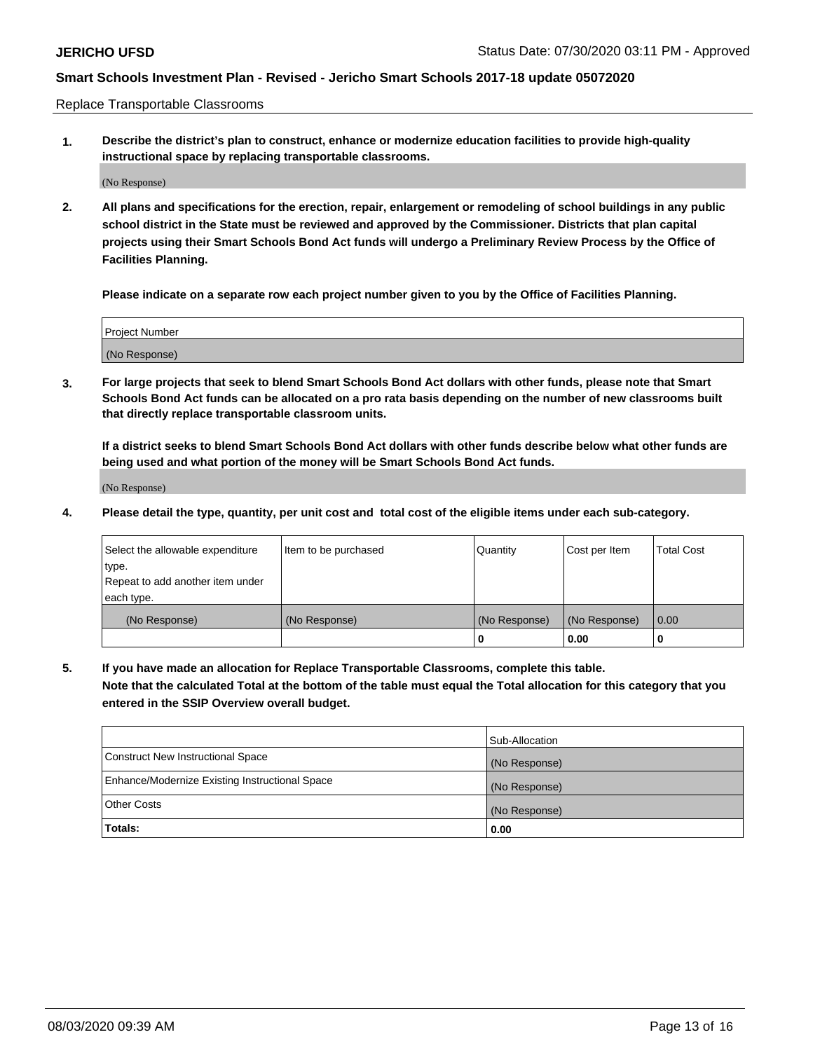Replace Transportable Classrooms

**1. Describe the district's plan to construct, enhance or modernize education facilities to provide high-quality instructional space by replacing transportable classrooms.**

(No Response)

**2. All plans and specifications for the erection, repair, enlargement or remodeling of school buildings in any public school district in the State must be reviewed and approved by the Commissioner. Districts that plan capital projects using their Smart Schools Bond Act funds will undergo a Preliminary Review Process by the Office of Facilities Planning.**

**Please indicate on a separate row each project number given to you by the Office of Facilities Planning.**

| Project Number |  |
|----------------|--|
|                |  |
|                |  |
|                |  |
|                |  |
| (No Response)  |  |
|                |  |
|                |  |
|                |  |

**3. For large projects that seek to blend Smart Schools Bond Act dollars with other funds, please note that Smart Schools Bond Act funds can be allocated on a pro rata basis depending on the number of new classrooms built that directly replace transportable classroom units.**

**If a district seeks to blend Smart Schools Bond Act dollars with other funds describe below what other funds are being used and what portion of the money will be Smart Schools Bond Act funds.**

(No Response)

**4. Please detail the type, quantity, per unit cost and total cost of the eligible items under each sub-category.**

| Select the allowable expenditure | Item to be purchased | Quantity      | Cost per Item | <b>Total Cost</b> |
|----------------------------------|----------------------|---------------|---------------|-------------------|
| type.                            |                      |               |               |                   |
| Repeat to add another item under |                      |               |               |                   |
| each type.                       |                      |               |               |                   |
| (No Response)                    | (No Response)        | (No Response) | (No Response) | 0.00              |
|                                  |                      | U             | 0.00          |                   |

**5. If you have made an allocation for Replace Transportable Classrooms, complete this table. Note that the calculated Total at the bottom of the table must equal the Total allocation for this category that you entered in the SSIP Overview overall budget.**

|                                                | Sub-Allocation |
|------------------------------------------------|----------------|
| Construct New Instructional Space              | (No Response)  |
| Enhance/Modernize Existing Instructional Space | (No Response)  |
| <b>Other Costs</b>                             | (No Response)  |
| Totals:                                        | 0.00           |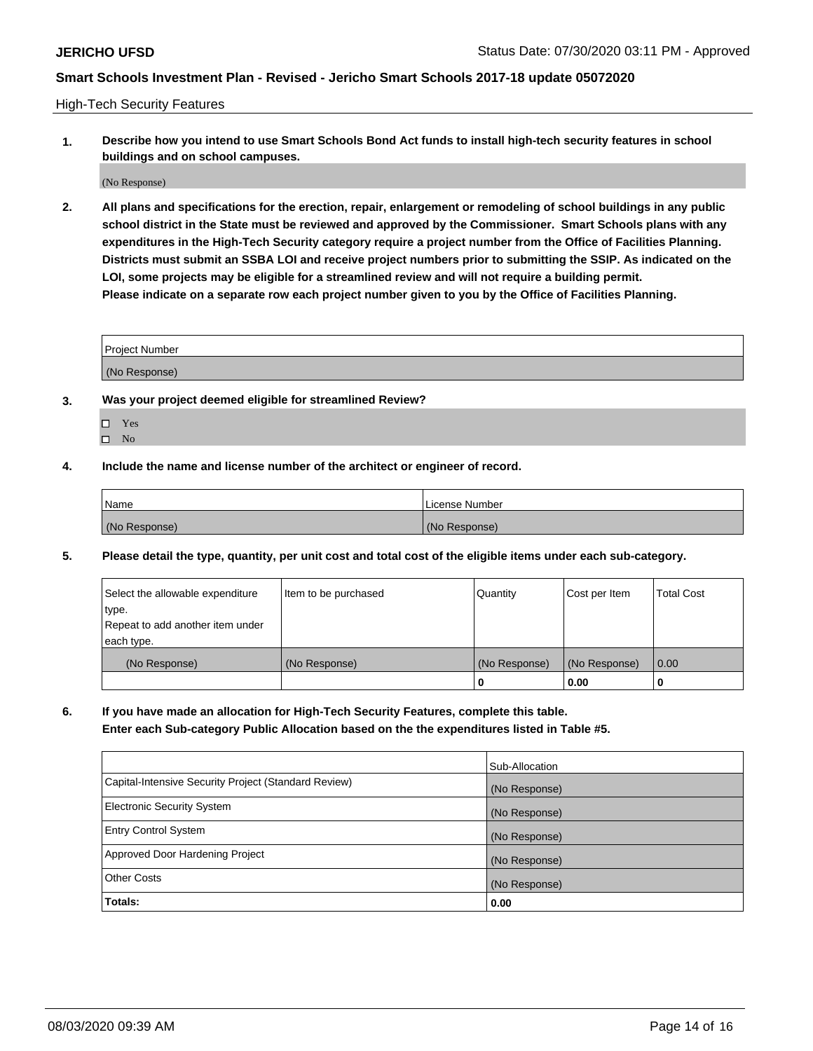High-Tech Security Features

**1. Describe how you intend to use Smart Schools Bond Act funds to install high-tech security features in school buildings and on school campuses.**

(No Response)

**2. All plans and specifications for the erection, repair, enlargement or remodeling of school buildings in any public school district in the State must be reviewed and approved by the Commissioner. Smart Schools plans with any expenditures in the High-Tech Security category require a project number from the Office of Facilities Planning. Districts must submit an SSBA LOI and receive project numbers prior to submitting the SSIP. As indicated on the LOI, some projects may be eligible for a streamlined review and will not require a building permit. Please indicate on a separate row each project number given to you by the Office of Facilities Planning.**

| <b>Project Number</b> |  |
|-----------------------|--|
| (No Response)         |  |

- **3. Was your project deemed eligible for streamlined Review?**
	- Yes
	- $\hfill \square$  No
- **4. Include the name and license number of the architect or engineer of record.**

| Name          | License Number |
|---------------|----------------|
| (No Response) | (No Response)  |

**5. Please detail the type, quantity, per unit cost and total cost of the eligible items under each sub-category.**

| Select the allowable expenditure | Item to be purchased | Quantity      | Cost per Item | <b>Total Cost</b> |
|----------------------------------|----------------------|---------------|---------------|-------------------|
| 'type.                           |                      |               |               |                   |
| Repeat to add another item under |                      |               |               |                   |
| each type.                       |                      |               |               |                   |
| (No Response)                    | (No Response)        | (No Response) | (No Response) | 0.00              |
|                                  |                      | U             | 0.00          |                   |

**6. If you have made an allocation for High-Tech Security Features, complete this table.**

**Enter each Sub-category Public Allocation based on the the expenditures listed in Table #5.**

|                                                      | Sub-Allocation |
|------------------------------------------------------|----------------|
| Capital-Intensive Security Project (Standard Review) | (No Response)  |
| <b>Electronic Security System</b>                    | (No Response)  |
| <b>Entry Control System</b>                          | (No Response)  |
| Approved Door Hardening Project                      | (No Response)  |
| <b>Other Costs</b>                                   | (No Response)  |
| <b>Totals:</b>                                       | 0.00           |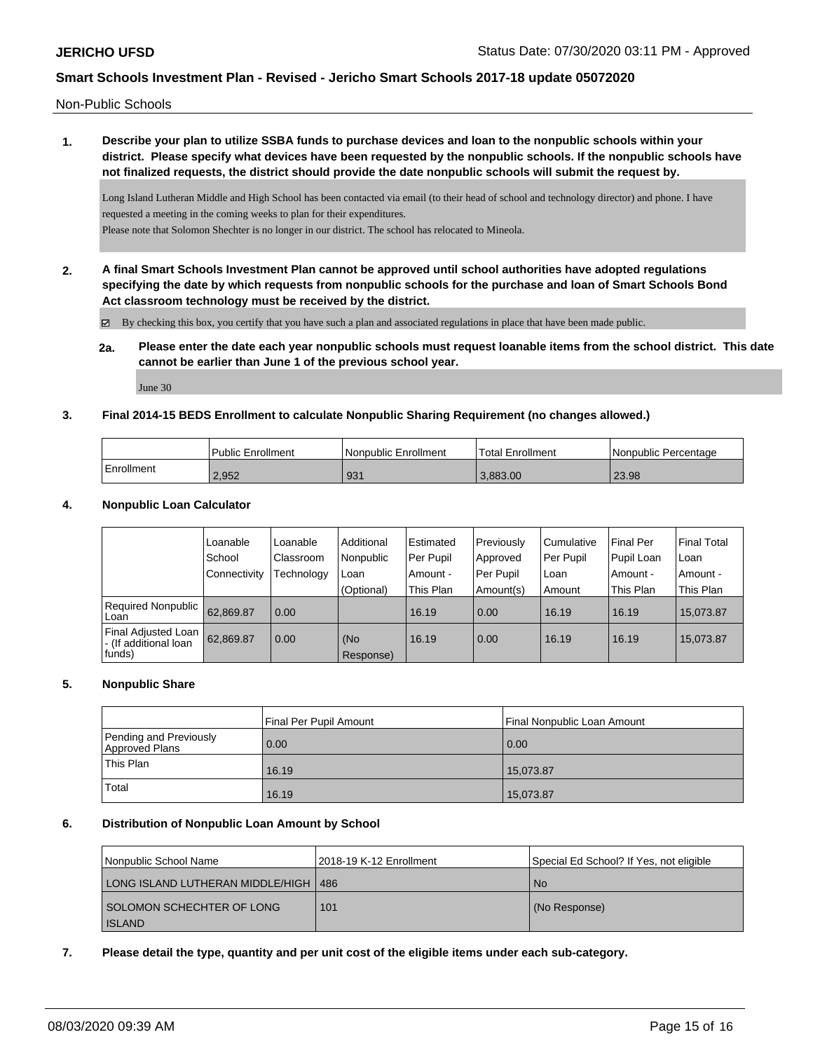Non-Public Schools

# **1. Describe your plan to utilize SSBA funds to purchase devices and loan to the nonpublic schools within your district. Please specify what devices have been requested by the nonpublic schools. If the nonpublic schools have not finalized requests, the district should provide the date nonpublic schools will submit the request by.**

Long Island Lutheran Middle and High School has been contacted via email (to their head of school and technology director) and phone. I have requested a meeting in the coming weeks to plan for their expenditures. Please note that Solomon Shechter is no longer in our district. The school has relocated to Mineola.

**2. A final Smart Schools Investment Plan cannot be approved until school authorities have adopted regulations specifying the date by which requests from nonpublic schools for the purchase and loan of Smart Schools Bond**

**Act classroom technology must be received by the district.**

 $\boxtimes$  By checking this box, you certify that you have such a plan and associated regulations in place that have been made public.

### **2a. Please enter the date each year nonpublic schools must request loanable items from the school district. This date cannot be earlier than June 1 of the previous school year.**

June 30

### **3. Final 2014-15 BEDS Enrollment to calculate Nonpublic Sharing Requirement (no changes allowed.)**

|            | Public Enrollment | l Nonpublic Enrollment | <b>Total Enrollment</b> | <b>Nonpublic Percentage</b> |
|------------|-------------------|------------------------|-------------------------|-----------------------------|
| Enrollment | 2,952             | 931                    | 3.883.00                | 23.98                       |

### **4. Nonpublic Loan Calculator**

|                                                        | Loanable       | Loanable   | Additional       | Estimated | Previously | l Cumulative | <b>Final Per</b> | <b>Final Total</b> |
|--------------------------------------------------------|----------------|------------|------------------|-----------|------------|--------------|------------------|--------------------|
|                                                        | School         | Classroom  | Nonpublic        | Per Pupil | Approved   | Per Pupil    | Pupil Loan       | Loan               |
|                                                        | l Connectivitv | Technology | Loan             | Amount -  | Per Pupil  | l Loan       | Amount -         | Amount -           |
|                                                        |                |            | (Optional)       | This Plan | Amount(s)  | Amount       | This Plan        | This Plan          |
| Required Nonpublic<br>l Loan                           | 62.869.87      | 0.00       |                  | 16.19     | 0.00       | 16.19        | 16.19            | 15.073.87          |
| Final Adjusted Loan<br>- (If additional loan<br>funds) | 62,869.87      | 0.00       | (No<br>Response) | 16.19     | 0.00       | 16.19        | 16.19            | 15.073.87          |

#### **5. Nonpublic Share**

|                                          | Final Per Pupil Amount | Final Nonpublic Loan Amount |
|------------------------------------------|------------------------|-----------------------------|
| Pending and Previously<br>Approved Plans | 0.00                   | 0.00                        |
| This Plan                                | 16.19                  | 15.073.87                   |
| <b>Total</b>                             | 16.19                  | 15,073.87                   |

#### **6. Distribution of Nonpublic Loan Amount by School**

| Nonpublic School Name                  | l 2018-19 K-12 Enrollment | Special Ed School? If Yes, not eligible |
|----------------------------------------|---------------------------|-----------------------------------------|
| LONG ISLAND LUTHERAN MIDDLE/HIGH   486 |                           | No.                                     |
| <b>SOLOMON SCHECHTER OF LONG</b>       | 101                       | (No Response)                           |
| <b>ISLAND</b>                          |                           |                                         |

### **7. Please detail the type, quantity and per unit cost of the eligible items under each sub-category.**